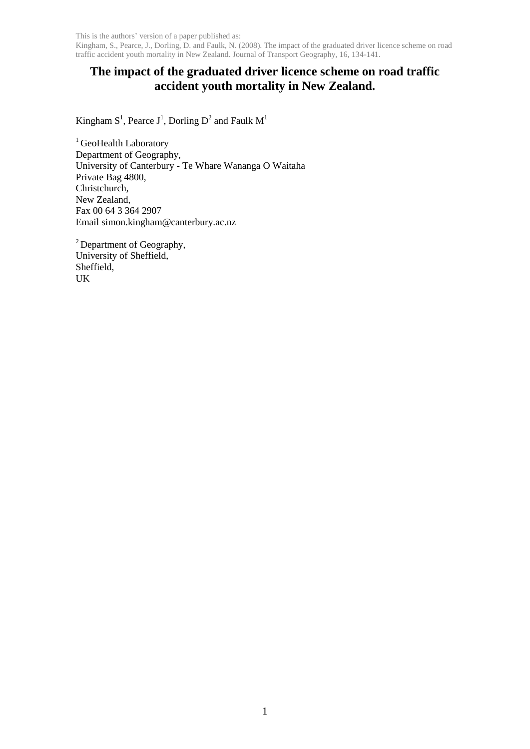Kingham, S., Pearce, J., Dorling, D. and Faulk, N. (2008). The impact of the graduated driver licence scheme on road traffic accident youth mortality in New Zealand. Journal of Transport Geography, 16, 134-141.

# **The impact of the graduated driver licence scheme on road traffic accident youth mortality in New Zealand.**

Kingham  $S^1$ , Pearce  $J^1$ , Dorling  $D^2$  and Faulk  $M^1$ 

<sup>1</sup> GeoHealth Laboratory Department of Geography, University of Canterbury - Te Whare Wananga O Waitaha Private Bag 4800, Christchurch, New Zealand, Fax 00 64 3 364 2907 Email simon.kingham@canterbury.ac.nz

<sup>2</sup> Department of Geography, University of Sheffield, Sheffield, UK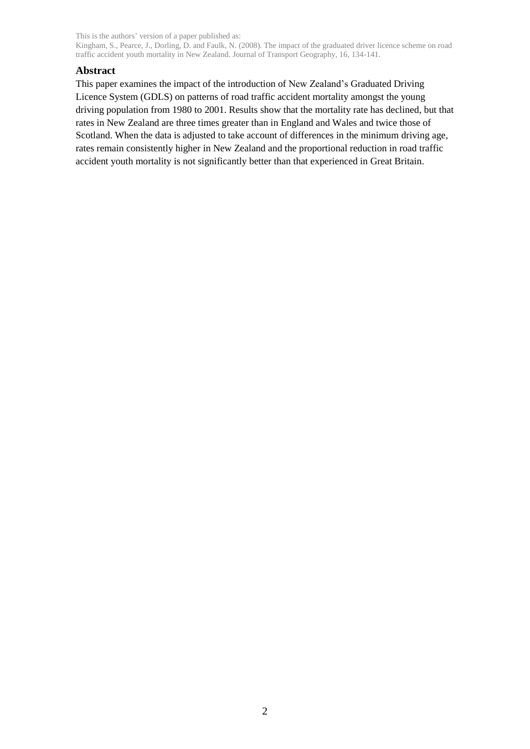Kingham, S., Pearce, J., Dorling, D. and Faulk, N. (2008). The impact of the graduated driver licence scheme on road traffic accident youth mortality in New Zealand. Journal of Transport Geography, 16, 134-141.

# **Abstract**

This paper examines the impact of the introduction of New Zealand"s Graduated Driving Licence System (GDLS) on patterns of road traffic accident mortality amongst the young driving population from 1980 to 2001. Results show that the mortality rate has declined, but that rates in New Zealand are three times greater than in England and Wales and twice those of Scotland. When the data is adjusted to take account of differences in the minimum driving age, rates remain consistently higher in New Zealand and the proportional reduction in road traffic accident youth mortality is not significantly better than that experienced in Great Britain.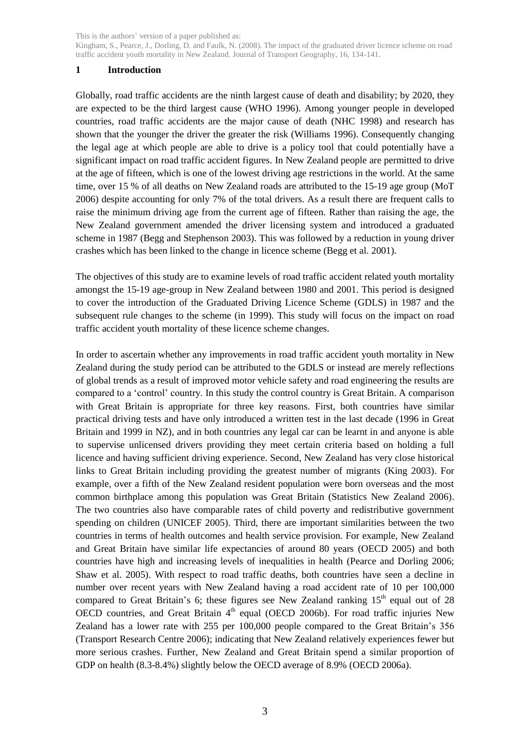Kingham, S., Pearce, J., Dorling, D. and Faulk, N. (2008). The impact of the graduated driver licence scheme on road traffic accident youth mortality in New Zealand. Journal of Transport Geography, 16, 134-141.

# **1 Introduction**

Globally, road traffic accidents are the ninth largest cause of death and disability; by 2020, they are expected to be the third largest cause (WHO 1996). Among younger people in developed countries, road traffic accidents are the major cause of death (NHC 1998) and research has shown that the younger the driver the greater the risk (Williams 1996). Consequently changing the legal age at which people are able to drive is a policy tool that could potentially have a significant impact on road traffic accident figures. In New Zealand people are permitted to drive at the age of fifteen, which is one of the lowest driving age restrictions in the world. At the same time, over 15 % of all deaths on New Zealand roads are attributed to the 15-19 age group (MoT 2006) despite accounting for only 7% of the total drivers. As a result there are frequent calls to raise the minimum driving age from the current age of fifteen. Rather than raising the age, the New Zealand government amended the driver licensing system and introduced a graduated scheme in 1987 (Begg and Stephenson 2003). This was followed by a reduction in young driver crashes which has been linked to the change in licence scheme (Begg et al. 2001).

The objectives of this study are to examine levels of road traffic accident related youth mortality amongst the 15-19 age-group in New Zealand between 1980 and 2001. This period is designed to cover the introduction of the Graduated Driving Licence Scheme (GDLS) in 1987 and the subsequent rule changes to the scheme (in 1999). This study will focus on the impact on road traffic accident youth mortality of these licence scheme changes.

In order to ascertain whether any improvements in road traffic accident youth mortality in New Zealand during the study period can be attributed to the GDLS or instead are merely reflections of global trends as a result of improved motor vehicle safety and road engineering the results are compared to a "control" country. In this study the control country is Great Britain. A comparison with Great Britain is appropriate for three key reasons. First, both countries have similar practical driving tests and have only introduced a written test in the last decade (1996 in Great Britain and 1999 in NZ), and in both countries any legal car can be learnt in and anyone is able to supervise unlicensed drivers providing they meet certain criteria based on holding a full licence and having sufficient driving experience. Second, New Zealand has very close historical links to Great Britain including providing the greatest number of migrants (King 2003). For example, over a fifth of the New Zealand resident population were born overseas and the most common birthplace among this population was Great Britain (Statistics New Zealand 2006). The two countries also have comparable rates of child poverty and redistributive government spending on children (UNICEF 2005). Third, there are important similarities between the two countries in terms of health outcomes and health service provision. For example, New Zealand and Great Britain have similar life expectancies of around 80 years (OECD 2005) and both countries have high and increasing levels of inequalities in health (Pearce and Dorling 2006; Shaw et al. 2005). With respect to road traffic deaths, both countries have seen a decline in number over recent years with New Zealand having a road accident rate of 10 per 100,000 compared to Great Britain's 6; these figures see New Zealand ranking  $15<sup>th</sup>$  equal out of 28 OECD countries, and Great Britain  $4<sup>th</sup>$  equal (OECD 2006b). For road traffic injuries New Zealand has a lower rate with 255 per 100,000 people compared to the Great Britain"s 356 (Transport Research Centre 2006); indicating that New Zealand relatively experiences fewer but more serious crashes. Further, New Zealand and Great Britain spend a similar proportion of GDP on health (8.3-8.4%) slightly below the OECD average of 8.9% (OECD 2006a).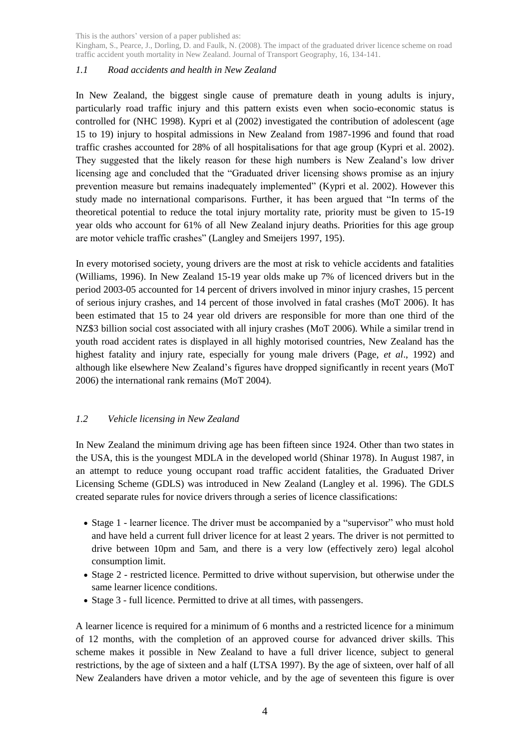Kingham, S., Pearce, J., Dorling, D. and Faulk, N. (2008). The impact of the graduated driver licence scheme on road traffic accident youth mortality in New Zealand. Journal of Transport Geography, 16, 134-141.

# *1.1 Road accidents and health in New Zealand*

In New Zealand, the biggest single cause of premature death in young adults is injury, particularly road traffic injury and this pattern exists even when socio-economic status is controlled for (NHC 1998). Kypri et al (2002) investigated the contribution of adolescent (age 15 to 19) injury to hospital admissions in New Zealand from 1987-1996 and found that road traffic crashes accounted for 28% of all hospitalisations for that age group (Kypri et al. 2002). They suggested that the likely reason for these high numbers is New Zealand"s low driver licensing age and concluded that the "Graduated driver licensing shows promise as an injury prevention measure but remains inadequately implemented" (Kypri et al. 2002). However this study made no international comparisons. Further, it has been argued that "In terms of the theoretical potential to reduce the total injury mortality rate, priority must be given to 15-19 year olds who account for 61% of all New Zealand injury deaths. Priorities for this age group are motor vehicle traffic crashes" (Langley and Smeijers 1997, 195).

In every motorised society, young drivers are the most at risk to vehicle accidents and fatalities (Williams, 1996). In New Zealand 15-19 year olds make up 7% of licenced drivers but in the period 2003-05 accounted for 14 percent of drivers involved in minor injury crashes, 15 percent of serious injury crashes, and 14 percent of those involved in fatal crashes (MoT 2006). It has been estimated that 15 to 24 year old drivers are responsible for more than one third of the NZ\$3 billion social cost associated with all injury crashes (MoT 2006). While a similar trend in youth road accident rates is displayed in all highly motorised countries, New Zealand has the highest fatality and injury rate, especially for young male drivers (Page, *et al*., 1992) and although like elsewhere New Zealand"s figures have dropped significantly in recent years (MoT 2006) the international rank remains (MoT 2004).

# *1.2 Vehicle licensing in New Zealand*

In New Zealand the minimum driving age has been fifteen since 1924. Other than two states in the USA, this is the youngest MDLA in the developed world (Shinar 1978). In August 1987, in an attempt to reduce young occupant road traffic accident fatalities, the Graduated Driver Licensing Scheme (GDLS) was introduced in New Zealand (Langley et al. 1996). The GDLS created separate rules for novice drivers through a series of licence classifications:

- Stage 1 learner licence. The driver must be accompanied by a "supervisor" who must hold and have held a current full driver licence for at least 2 years. The driver is not permitted to drive between 10pm and 5am, and there is a very low (effectively zero) legal alcohol consumption limit.
- Stage 2 restricted licence. Permitted to drive without supervision, but otherwise under the same learner licence conditions.
- Stage 3 full licence. Permitted to drive at all times, with passengers.

A learner licence is required for a minimum of 6 months and a restricted licence for a minimum of 12 months, with the completion of an approved course for advanced driver skills. This scheme makes it possible in New Zealand to have a full driver licence, subject to general restrictions, by the age of sixteen and a half (LTSA 1997). By the age of sixteen, over half of all New Zealanders have driven a motor vehicle, and by the age of seventeen this figure is over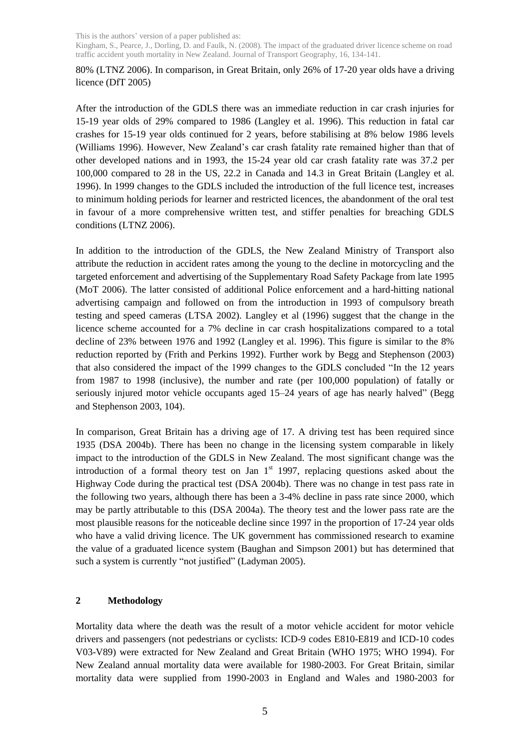Kingham, S., Pearce, J., Dorling, D. and Faulk, N. (2008). The impact of the graduated driver licence scheme on road traffic accident youth mortality in New Zealand. Journal of Transport Geography, 16, 134-141.

80% (LTNZ 2006). In comparison, in Great Britain, only 26% of 17-20 year olds have a driving licence (DfT 2005)

After the introduction of the GDLS there was an immediate reduction in car crash injuries for 15-19 year olds of 29% compared to 1986 (Langley et al. 1996). This reduction in fatal car crashes for 15-19 year olds continued for 2 years, before stabilising at 8% below 1986 levels (Williams 1996). However, New Zealand"s car crash fatality rate remained higher than that of other developed nations and in 1993, the 15-24 year old car crash fatality rate was 37.2 per 100,000 compared to 28 in the US, 22.2 in Canada and 14.3 in Great Britain (Langley et al. 1996). In 1999 changes to the GDLS included the introduction of the full licence test, increases to minimum holding periods for learner and restricted licences, the abandonment of the oral test in favour of a more comprehensive written test, and stiffer penalties for breaching GDLS conditions (LTNZ 2006).

In addition to the introduction of the GDLS, the New Zealand Ministry of Transport also attribute the reduction in accident rates among the young to the decline in motorcycling and the targeted enforcement and advertising of the Supplementary Road Safety Package from late 1995 (MoT 2006). The latter consisted of additional Police enforcement and a hard-hitting national advertising campaign and followed on from the introduction in 1993 of compulsory breath testing and speed cameras (LTSA 2002). Langley et al (1996) suggest that the change in the licence scheme accounted for a 7% decline in car crash hospitalizations compared to a total decline of 23% between 1976 and 1992 (Langley et al. 1996). This figure is similar to the 8% reduction reported by (Frith and Perkins 1992). Further work by Begg and Stephenson (2003) that also considered the impact of the 1999 changes to the GDLS concluded "In the 12 years from 1987 to 1998 (inclusive), the number and rate (per 100,000 population) of fatally or seriously injured motor vehicle occupants aged 15–24 years of age has nearly halved" (Begg and Stephenson 2003, 104).

In comparison, Great Britain has a driving age of 17. A driving test has been required since 1935 (DSA 2004b). There has been no change in the licensing system comparable in likely impact to the introduction of the GDLS in New Zealand. The most significant change was the introduction of a formal theory test on Jan  $1<sup>st</sup>$  1997, replacing questions asked about the Highway Code during the practical test (DSA 2004b). There was no change in test pass rate in the following two years, although there has been a 3-4% decline in pass rate since 2000, which may be partly attributable to this (DSA 2004a). The theory test and the lower pass rate are the most plausible reasons for the noticeable decline since 1997 in the proportion of 17-24 year olds who have a valid driving licence. The UK government has commissioned research to examine the value of a graduated licence system (Baughan and Simpson 2001) but has determined that such a system is currently "not justified" (Ladyman 2005).

# **2 Methodology**

Mortality data where the death was the result of a motor vehicle accident for motor vehicle drivers and passengers (not pedestrians or cyclists: ICD-9 codes E810-E819 and ICD-10 codes V03-V89) were extracted for New Zealand and Great Britain (WHO 1975; WHO 1994). For New Zealand annual mortality data were available for 1980-2003. For Great Britain, similar mortality data were supplied from 1990-2003 in England and Wales and 1980-2003 for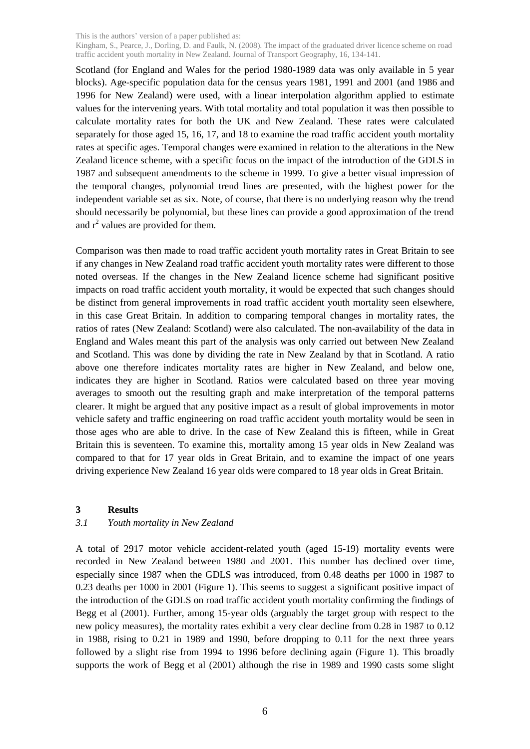Kingham, S., Pearce, J., Dorling, D. and Faulk, N. (2008). The impact of the graduated driver licence scheme on road traffic accident youth mortality in New Zealand. Journal of Transport Geography, 16, 134-141.

Scotland (for England and Wales for the period 1980-1989 data was only available in 5 year blocks). Age-specific population data for the census years 1981, 1991 and 2001 (and 1986 and 1996 for New Zealand) were used, with a linear interpolation algorithm applied to estimate values for the intervening years. With total mortality and total population it was then possible to calculate mortality rates for both the UK and New Zealand. These rates were calculated separately for those aged 15, 16, 17, and 18 to examine the road traffic accident youth mortality rates at specific ages. Temporal changes were examined in relation to the alterations in the New Zealand licence scheme, with a specific focus on the impact of the introduction of the GDLS in 1987 and subsequent amendments to the scheme in 1999. To give a better visual impression of the temporal changes, polynomial trend lines are presented, with the highest power for the independent variable set as six. Note, of course, that there is no underlying reason why the trend should necessarily be polynomial, but these lines can provide a good approximation of the trend and  $r^2$  values are provided for them.

Comparison was then made to road traffic accident youth mortality rates in Great Britain to see if any changes in New Zealand road traffic accident youth mortality rates were different to those noted overseas. If the changes in the New Zealand licence scheme had significant positive impacts on road traffic accident youth mortality, it would be expected that such changes should be distinct from general improvements in road traffic accident youth mortality seen elsewhere, in this case Great Britain. In addition to comparing temporal changes in mortality rates, the ratios of rates (New Zealand: Scotland) were also calculated. The non-availability of the data in England and Wales meant this part of the analysis was only carried out between New Zealand and Scotland. This was done by dividing the rate in New Zealand by that in Scotland. A ratio above one therefore indicates mortality rates are higher in New Zealand, and below one, indicates they are higher in Scotland. Ratios were calculated based on three year moving averages to smooth out the resulting graph and make interpretation of the temporal patterns clearer. It might be argued that any positive impact as a result of global improvements in motor vehicle safety and traffic engineering on road traffic accident youth mortality would be seen in those ages who are able to drive. In the case of New Zealand this is fifteen, while in Great Britain this is seventeen. To examine this, mortality among 15 year olds in New Zealand was compared to that for 17 year olds in Great Britain, and to examine the impact of one years driving experience New Zealand 16 year olds were compared to 18 year olds in Great Britain.

#### **3 Results**

### *3.1 Youth mortality in New Zealand*

A total of 2917 motor vehicle accident-related youth (aged 15-19) mortality events were recorded in New Zealand between 1980 and 2001. This number has declined over time, especially since 1987 when the GDLS was introduced, from 0.48 deaths per 1000 in 1987 to 0.23 deaths per 1000 in 2001 (Figure 1). This seems to suggest a significant positive impact of the introduction of the GDLS on road traffic accident youth mortality confirming the findings of Begg et al (2001). Further, among 15-year olds (arguably the target group with respect to the new policy measures), the mortality rates exhibit a very clear decline from 0.28 in 1987 to 0.12 in 1988, rising to 0.21 in 1989 and 1990, before dropping to 0.11 for the next three years followed by a slight rise from 1994 to 1996 before declining again (Figure 1). This broadly supports the work of Begg et al (2001) although the rise in 1989 and 1990 casts some slight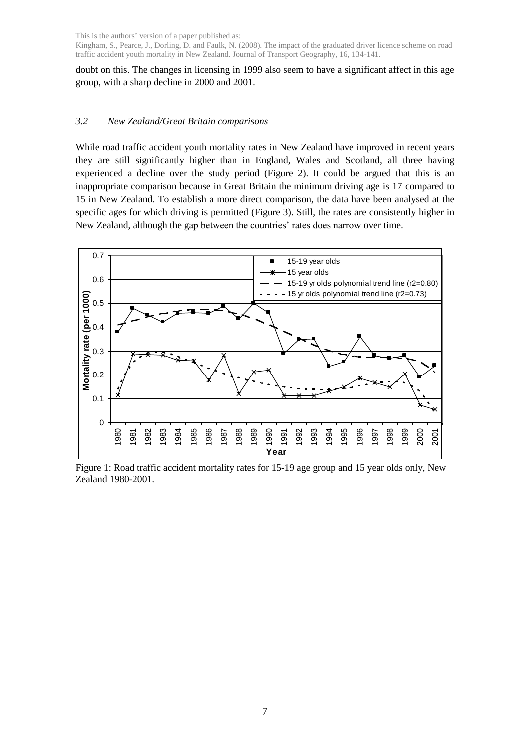Kingham, S., Pearce, J., Dorling, D. and Faulk, N. (2008). The impact of the graduated driver licence scheme on road traffic accident youth mortality in New Zealand. Journal of Transport Geography, 16, 134-141.

doubt on this. The changes in licensing in 1999 also seem to have a significant affect in this age group, with a sharp decline in 2000 and 2001.

### *3.2 New Zealand/Great Britain comparisons*

While road traffic accident youth mortality rates in New Zealand have improved in recent years they are still significantly higher than in England, Wales and Scotland, all three having experienced a decline over the study period (Figure 2). It could be argued that this is an inappropriate comparison because in Great Britain the minimum driving age is 17 compared to 15 in New Zealand. To establish a more direct comparison, the data have been analysed at the specific ages for which driving is permitted (Figure 3). Still, the rates are consistently higher in New Zealand, although the gap between the countries' rates does narrow over time.



Figure 1: Road traffic accident mortality rates for 15-19 age group and 15 year olds only, New Zealand 1980-2001.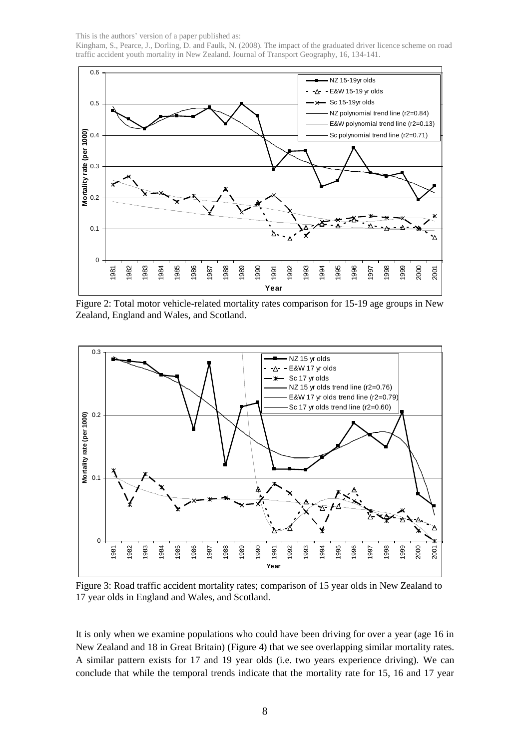This is the authors' version of a paper published as: Kingham, S., Pearce, J., Dorling, D. and Faulk, N. (2008). The impact of the graduated driver licence scheme on road traffic accident youth mortality in New Zealand. Journal of Transport Geography, 16, 134-141.



Figure 2: Total motor vehicle-related mortality rates comparison for 15-19 age groups in New Zealand, England and Wales, and Scotland.



Figure 3: Road traffic accident mortality rates; comparison of 15 year olds in New Zealand to 17 year olds in England and Wales, and Scotland.

It is only when we examine populations who could have been driving for over a year (age 16 in New Zealand and 18 in Great Britain) (Figure 4) that we see overlapping similar mortality rates. A similar pattern exists for 17 and 19 year olds (i.e. two years experience driving). We can conclude that while the temporal trends indicate that the mortality rate for 15, 16 and 17 year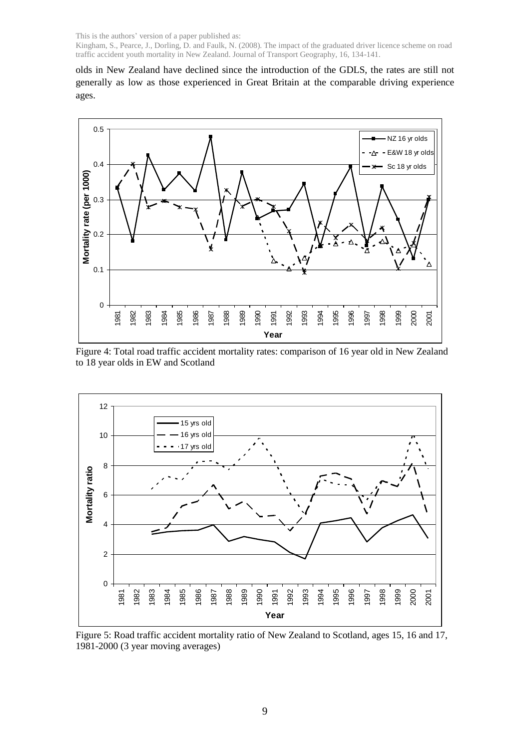Kingham, S., Pearce, J., Dorling, D. and Faulk, N. (2008). The impact of the graduated driver licence scheme on road traffic accident youth mortality in New Zealand. Journal of Transport Geography, 16, 134-141.

olds in New Zealand have declined since the introduction of the GDLS, the rates are still not generally as low as those experienced in Great Britain at the comparable driving experience ages.



Figure 4: Total road traffic accident mortality rates: comparison of 16 year old in New Zealand to 18 year olds in EW and Scotland



Figure 5: Road traffic accident mortality ratio of New Zealand to Scotland, ages 15, 16 and 17, 1981-2000 (3 year moving averages)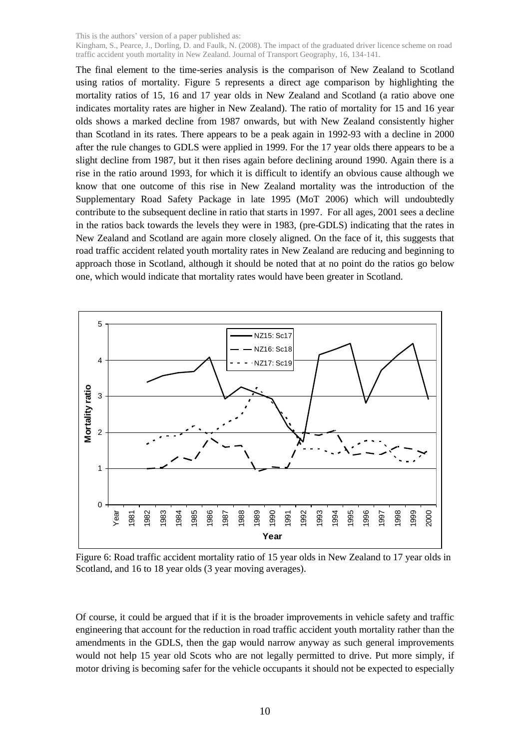Kingham, S., Pearce, J., Dorling, D. and Faulk, N. (2008). The impact of the graduated driver licence scheme on road traffic accident youth mortality in New Zealand. Journal of Transport Geography, 16, 134-141.

The final element to the time-series analysis is the comparison of New Zealand to Scotland using ratios of mortality. Figure 5 represents a direct age comparison by highlighting the mortality ratios of 15, 16 and 17 year olds in New Zealand and Scotland (a ratio above one indicates mortality rates are higher in New Zealand). The ratio of mortality for 15 and 16 year olds shows a marked decline from 1987 onwards, but with New Zealand consistently higher than Scotland in its rates. There appears to be a peak again in 1992-93 with a decline in 2000 after the rule changes to GDLS were applied in 1999. For the 17 year olds there appears to be a slight decline from 1987, but it then rises again before declining around 1990. Again there is a rise in the ratio around 1993, for which it is difficult to identify an obvious cause although we know that one outcome of this rise in New Zealand mortality was the introduction of the Supplementary Road Safety Package in late 1995 (MoT 2006) which will undoubtedly contribute to the subsequent decline in ratio that starts in 1997. For all ages, 2001 sees a decline in the ratios back towards the levels they were in 1983, (pre-GDLS) indicating that the rates in New Zealand and Scotland are again more closely aligned. On the face of it, this suggests that road traffic accident related youth mortality rates in New Zealand are reducing and beginning to approach those in Scotland, although it should be noted that at no point do the ratios go below one, which would indicate that mortality rates would have been greater in Scotland.



Figure 6: Road traffic accident mortality ratio of 15 year olds in New Zealand to 17 year olds in Scotland, and 16 to 18 year olds (3 year moving averages).

Of course, it could be argued that if it is the broader improvements in vehicle safety and traffic engineering that account for the reduction in road traffic accident youth mortality rather than the amendments in the GDLS, then the gap would narrow anyway as such general improvements would not help 15 year old Scots who are not legally permitted to drive. Put more simply, if motor driving is becoming safer for the vehicle occupants it should not be expected to especially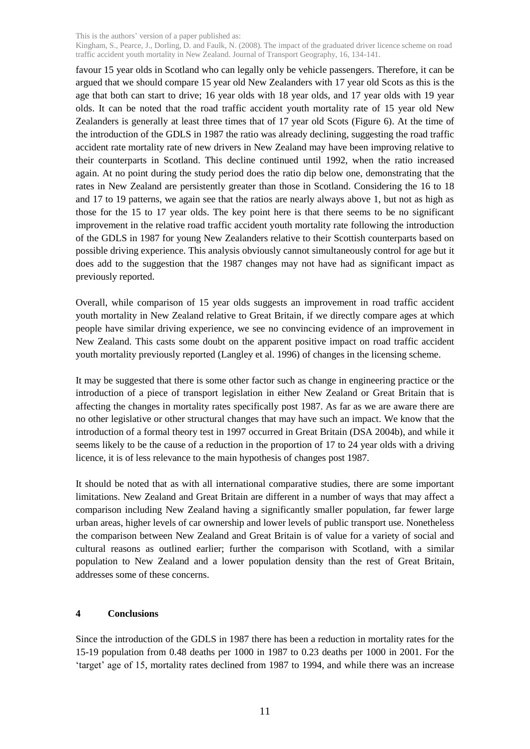Kingham, S., Pearce, J., Dorling, D. and Faulk, N. (2008). The impact of the graduated driver licence scheme on road traffic accident youth mortality in New Zealand. Journal of Transport Geography, 16, 134-141.

favour 15 year olds in Scotland who can legally only be vehicle passengers. Therefore, it can be argued that we should compare 15 year old New Zealanders with 17 year old Scots as this is the age that both can start to drive; 16 year olds with 18 year olds, and 17 year olds with 19 year olds. It can be noted that the road traffic accident youth mortality rate of 15 year old New Zealanders is generally at least three times that of 17 year old Scots (Figure 6). At the time of the introduction of the GDLS in 1987 the ratio was already declining, suggesting the road traffic accident rate mortality rate of new drivers in New Zealand may have been improving relative to their counterparts in Scotland. This decline continued until 1992, when the ratio increased again. At no point during the study period does the ratio dip below one, demonstrating that the rates in New Zealand are persistently greater than those in Scotland. Considering the 16 to 18 and 17 to 19 patterns, we again see that the ratios are nearly always above 1, but not as high as those for the 15 to 17 year olds. The key point here is that there seems to be no significant improvement in the relative road traffic accident youth mortality rate following the introduction of the GDLS in 1987 for young New Zealanders relative to their Scottish counterparts based on possible driving experience. This analysis obviously cannot simultaneously control for age but it does add to the suggestion that the 1987 changes may not have had as significant impact as previously reported.

Overall, while comparison of 15 year olds suggests an improvement in road traffic accident youth mortality in New Zealand relative to Great Britain, if we directly compare ages at which people have similar driving experience, we see no convincing evidence of an improvement in New Zealand. This casts some doubt on the apparent positive impact on road traffic accident youth mortality previously reported (Langley et al. 1996) of changes in the licensing scheme.

It may be suggested that there is some other factor such as change in engineering practice or the introduction of a piece of transport legislation in either New Zealand or Great Britain that is affecting the changes in mortality rates specifically post 1987. As far as we are aware there are no other legislative or other structural changes that may have such an impact. We know that the introduction of a formal theory test in 1997 occurred in Great Britain (DSA 2004b), and while it seems likely to be the cause of a reduction in the proportion of 17 to 24 year olds with a driving licence, it is of less relevance to the main hypothesis of changes post 1987.

It should be noted that as with all international comparative studies, there are some important limitations. New Zealand and Great Britain are different in a number of ways that may affect a comparison including New Zealand having a significantly smaller population, far fewer large urban areas, higher levels of car ownership and lower levels of public transport use. Nonetheless the comparison between New Zealand and Great Britain is of value for a variety of social and cultural reasons as outlined earlier; further the comparison with Scotland, with a similar population to New Zealand and a lower population density than the rest of Great Britain, addresses some of these concerns.

### **4 Conclusions**

Since the introduction of the GDLS in 1987 there has been a reduction in mortality rates for the 15-19 population from 0.48 deaths per 1000 in 1987 to 0.23 deaths per 1000 in 2001. For the "target" age of 15, mortality rates declined from 1987 to 1994, and while there was an increase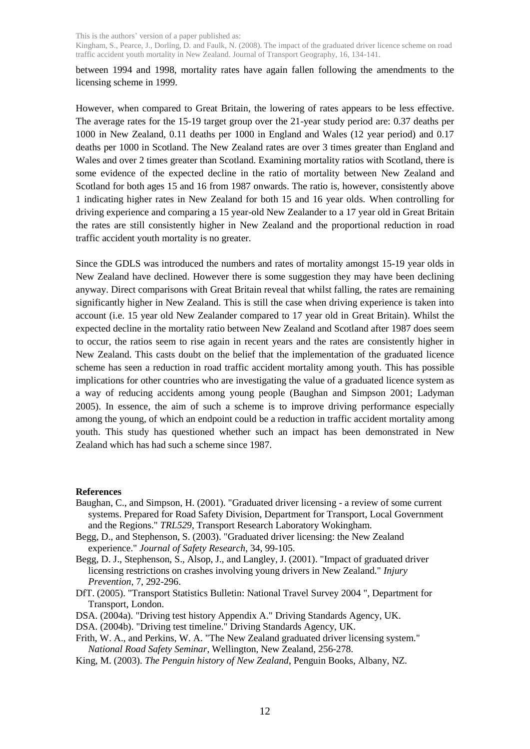Kingham, S., Pearce, J., Dorling, D. and Faulk, N. (2008). The impact of the graduated driver licence scheme on road traffic accident youth mortality in New Zealand. Journal of Transport Geography, 16, 134-141.

between 1994 and 1998, mortality rates have again fallen following the amendments to the licensing scheme in 1999.

However, when compared to Great Britain, the lowering of rates appears to be less effective. The average rates for the 15-19 target group over the 21-year study period are: 0.37 deaths per 1000 in New Zealand, 0.11 deaths per 1000 in England and Wales (12 year period) and 0.17 deaths per 1000 in Scotland. The New Zealand rates are over 3 times greater than England and Wales and over 2 times greater than Scotland. Examining mortality ratios with Scotland, there is some evidence of the expected decline in the ratio of mortality between New Zealand and Scotland for both ages 15 and 16 from 1987 onwards. The ratio is, however, consistently above 1 indicating higher rates in New Zealand for both 15 and 16 year olds. When controlling for driving experience and comparing a 15 year-old New Zealander to a 17 year old in Great Britain the rates are still consistently higher in New Zealand and the proportional reduction in road traffic accident youth mortality is no greater.

Since the GDLS was introduced the numbers and rates of mortality amongst 15-19 year olds in New Zealand have declined. However there is some suggestion they may have been declining anyway. Direct comparisons with Great Britain reveal that whilst falling, the rates are remaining significantly higher in New Zealand. This is still the case when driving experience is taken into account (i.e. 15 year old New Zealander compared to 17 year old in Great Britain). Whilst the expected decline in the mortality ratio between New Zealand and Scotland after 1987 does seem to occur, the ratios seem to rise again in recent years and the rates are consistently higher in New Zealand. This casts doubt on the belief that the implementation of the graduated licence scheme has seen a reduction in road traffic accident mortality among youth. This has possible implications for other countries who are investigating the value of a graduated licence system as a way of reducing accidents among young people (Baughan and Simpson 2001; Ladyman 2005). In essence, the aim of such a scheme is to improve driving performance especially among the young, of which an endpoint could be a reduction in traffic accident mortality among youth. This study has questioned whether such an impact has been demonstrated in New Zealand which has had such a scheme since 1987.

### **References**

- Baughan, C., and Simpson, H. (2001). "Graduated driver licensing a review of some current systems. Prepared for Road Safety Division, Department for Transport, Local Government and the Regions." *TRL529*, Transport Research Laboratory Wokingham.
- Begg, D., and Stephenson, S. (2003). "Graduated driver licensing: the New Zealand experience." *Journal of Safety Research*, 34, 99-105.
- Begg, D. J., Stephenson, S., Alsop, J., and Langley, J. (2001). "Impact of graduated driver licensing restrictions on crashes involving young drivers in New Zealand." *Injury Prevention*, 7, 292-296.
- DfT. (2005). "Transport Statistics Bulletin: National Travel Survey 2004 ", Department for Transport, London.
- DSA. (2004a). "Driving test history Appendix A." Driving Standards Agency, UK.
- DSA. (2004b). "Driving test timeline." Driving Standards Agency, UK.
- Frith, W. A., and Perkins, W. A. "The New Zealand graduated driver licensing system." *National Road Safety Seminar*, Wellington, New Zealand, 256-278.
- King, M. (2003). *The Penguin history of New Zealand*, Penguin Books, Albany, NZ.